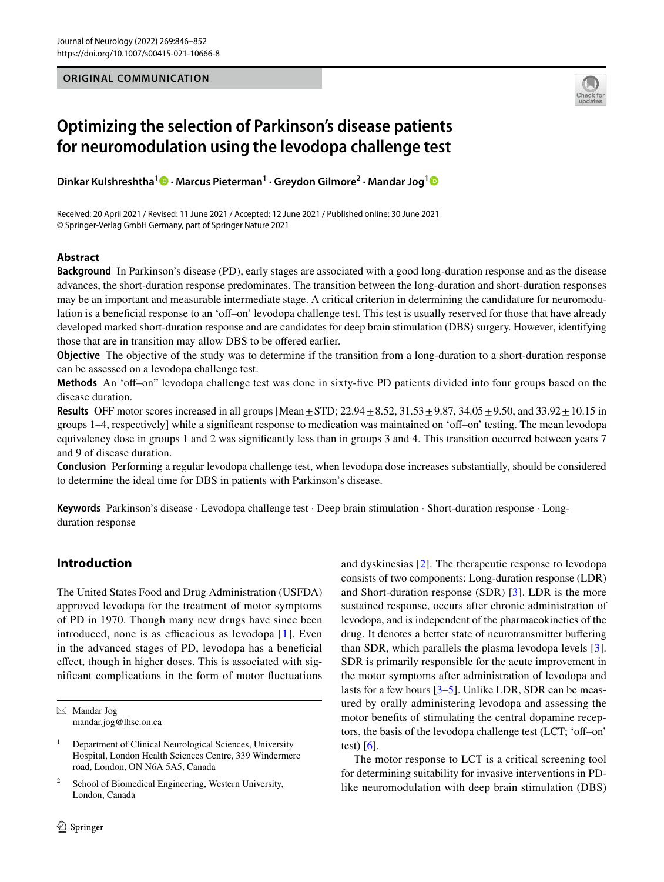## **ORIGINAL COMMUNICATION**



# **Optimizing the selection of Parkinson's disease patients for neuromodulation using the levodopa challenge test**

**Dinkar Kulshreshtha1 · Marcus Pieterman1 · Greydon Gilmore2 · Mandar Jog[1](http://orcid.org/0000-0001-7513-8651)**

Received: 20 April 2021 / Revised: 11 June 2021 / Accepted: 12 June 2021 / Published online: 30 June 2021 © Springer-Verlag GmbH Germany, part of Springer Nature 2021

# **Abstract**

**Background** In Parkinson's disease (PD), early stages are associated with a good long-duration response and as the disease advances, the short-duration response predominates. The transition between the long-duration and short-duration responses may be an important and measurable intermediate stage. A critical criterion in determining the candidature for neuromodulation is a beneficial response to an 'off-on' levodopa challenge test. This test is usually reserved for those that have already developed marked short-duration response and are candidates for deep brain stimulation (DBS) surgery. However, identifying those that are in transition may allow DBS to be ofered earlier.

**Objective** The objective of the study was to determine if the transition from a long-duration to a short-duration response can be assessed on a levodopa challenge test.

**Methods** An 'off-on" levodopa challenge test was done in sixty-five PD patients divided into four groups based on the disease duration.

**Results** OFF motor scores increased in all groups [Mean $\pm$ STD; 22.94 $\pm$ 8.52, 31.53 $\pm$ 9.87, 34.05 $\pm$ 9.50, and 33.92 $\pm$ 10.15 in groups 1–4, respectively] while a signifcant response to medication was maintained on 'of–on' testing. The mean levodopa equivalency dose in groups 1 and 2 was signifcantly less than in groups 3 and 4. This transition occurred between years 7 and 9 of disease duration.

**Conclusion** Performing a regular levodopa challenge test, when levodopa dose increases substantially, should be considered to determine the ideal time for DBS in patients with Parkinson's disease.

**Keywords** Parkinson's disease · Levodopa challenge test · Deep brain stimulation · Short-duration response · Longduration response

# **Introduction**

The United States Food and Drug Administration (USFDA) approved levodopa for the treatment of motor symptoms of PD in 1970. Though many new drugs have since been introduced, none is as efficacious as levodopa  $[1]$ . Even in the advanced stages of PD, levodopa has a benefcial efect, though in higher doses. This is associated with signifcant complications in the form of motor fuctuations

School of Biomedical Engineering, Western University, London, Canada

and dyskinesias [[2](#page-5-1)]. The therapeutic response to levodopa consists of two components: Long-duration response (LDR) and Short-duration response (SDR) [[3](#page-5-2)]. LDR is the more sustained response, occurs after chronic administration of levodopa, and is independent of the pharmacokinetics of the drug. It denotes a better state of neurotransmitter bufering than SDR, which parallels the plasma levodopa levels [\[3](#page-5-2)]. SDR is primarily responsible for the acute improvement in the motor symptoms after administration of levodopa and lasts for a few hours [\[3](#page-5-2)[–5](#page-5-3)]. Unlike LDR, SDR can be measured by orally administering levodopa and assessing the motor benefts of stimulating the central dopamine receptors, the basis of the levodopa challenge test (LCT; 'off–on' test)  $[6]$  $[6]$ .

The motor response to LCT is a critical screening tool for determining suitability for invasive interventions in PDlike neuromodulation with deep brain stimulation (DBS)

 $\boxtimes$  Mandar Jog mandar.jog@lhsc.on.ca

<sup>&</sup>lt;sup>1</sup> Department of Clinical Neurological Sciences, University Hospital, London Health Sciences Centre, 339 Windermere road, London, ON N6A 5A5, Canada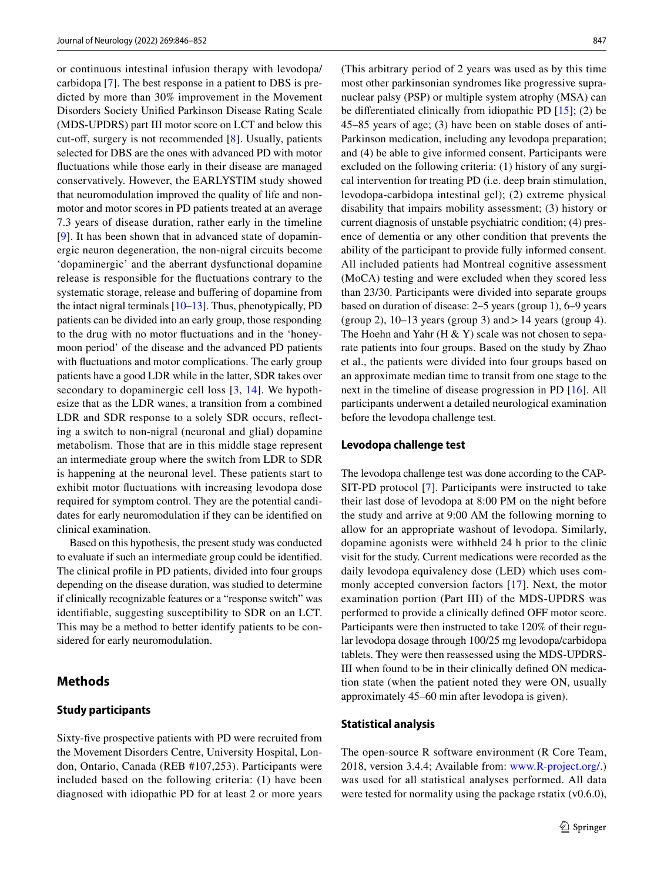or continuous intestinal infusion therapy with levodopa/ carbidopa [[7\]](#page-5-5). The best response in a patient to DBS is predicted by more than 30% improvement in the Movement Disorders Society Unifed Parkinson Disease Rating Scale (MDS-UPDRS) part III motor score on LCT and below this cut-off, surgery is not recommended [[8\]](#page-5-6). Usually, patients selected for DBS are the ones with advanced PD with motor fuctuations while those early in their disease are managed conservatively. However, the EARLYSTIM study showed that neuromodulation improved the quality of life and nonmotor and motor scores in PD patients treated at an average 7.3 years of disease duration, rather early in the timeline [\[9\]](#page-5-7). It has been shown that in advanced state of dopaminergic neuron degeneration, the non-nigral circuits become 'dopaminergic' and the aberrant dysfunctional dopamine release is responsible for the fuctuations contrary to the systematic storage, release and bufering of dopamine from the intact nigral terminals [\[10–](#page-5-8)[13\]](#page-6-0). Thus, phenotypically, PD patients can be divided into an early group, those responding to the drug with no motor fuctuations and in the 'honeymoon period' of the disease and the advanced PD patients with fuctuations and motor complications. The early group patients have a good LDR while in the latter, SDR takes over secondary to dopaminergic cell loss [\[3,](#page-5-2) [14\]](#page-6-1). We hypothesize that as the LDR wanes, a transition from a combined LDR and SDR response to a solely SDR occurs, refecting a switch to non-nigral (neuronal and glial) dopamine metabolism. Those that are in this middle stage represent an intermediate group where the switch from LDR to SDR is happening at the neuronal level. These patients start to exhibit motor fuctuations with increasing levodopa dose required for symptom control. They are the potential candidates for early neuromodulation if they can be identifed on clinical examination.

Based on this hypothesis, the present study was conducted to evaluate if such an intermediate group could be identifed. The clinical profle in PD patients, divided into four groups depending on the disease duration, was studied to determine if clinically recognizable features or a "response switch" was identifable, suggesting susceptibility to SDR on an LCT. This may be a method to better identify patients to be considered for early neuromodulation.

## **Methods**

## **Study participants**

Sixty-fve prospective patients with PD were recruited from the Movement Disorders Centre, University Hospital, London, Ontario, Canada (REB #107,253). Participants were included based on the following criteria: (1) have been diagnosed with idiopathic PD for at least 2 or more years (This arbitrary period of 2 years was used as by this time most other parkinsonian syndromes like progressive supranuclear palsy (PSP) or multiple system atrophy (MSA) can be diferentiated clinically from idiopathic PD [[15\]](#page-6-2); (2) be 45–85 years of age; (3) have been on stable doses of anti-Parkinson medication, including any levodopa preparation; and (4) be able to give informed consent. Participants were excluded on the following criteria: (1) history of any surgical intervention for treating PD (i.e. deep brain stimulation, levodopa-carbidopa intestinal gel); (2) extreme physical disability that impairs mobility assessment; (3) history or current diagnosis of unstable psychiatric condition; (4) presence of dementia or any other condition that prevents the ability of the participant to provide fully informed consent. All included patients had Montreal cognitive assessment (MoCA) testing and were excluded when they scored less than 23/30. Participants were divided into separate groups based on duration of disease: 2–5 years (group 1), 6–9 years (group 2),  $10-13$  years (group 3) and  $>14$  years (group 4). The Hoehn and Yahr (H  $\&$  Y) scale was not chosen to separate patients into four groups. Based on the study by Zhao et al., the patients were divided into four groups based on an approximate median time to transit from one stage to the next in the timeline of disease progression in PD [\[16\]](#page-6-3). All participants underwent a detailed neurological examination before the levodopa challenge test.

#### **Levodopa challenge test**

The levodopa challenge test was done according to the CAP-SIT-PD protocol [[7](#page-5-5)]. Participants were instructed to take their last dose of levodopa at 8:00 PM on the night before the study and arrive at 9:00 AM the following morning to allow for an appropriate washout of levodopa. Similarly, dopamine agonists were withheld 24 h prior to the clinic visit for the study. Current medications were recorded as the daily levodopa equivalency dose (LED) which uses commonly accepted conversion factors [\[17\]](#page-6-4). Next, the motor examination portion (Part III) of the MDS-UPDRS was performed to provide a clinically defned OFF motor score. Participants were then instructed to take 120% of their regular levodopa dosage through 100/25 mg levodopa/carbidopa tablets. They were then reassessed using the MDS-UPDRS-III when found to be in their clinically defned ON medication state (when the patient noted they were ON, usually approximately 45–60 min after levodopa is given).

#### **Statistical analysis**

The open-source R software environment (R Core Team, 2018, version 3.4.4; Available from: [www.R-project.org/](http://www.R-project.org/).) was used for all statistical analyses performed. All data were tested for normality using the package rstatix  $(v0.6.0)$ ,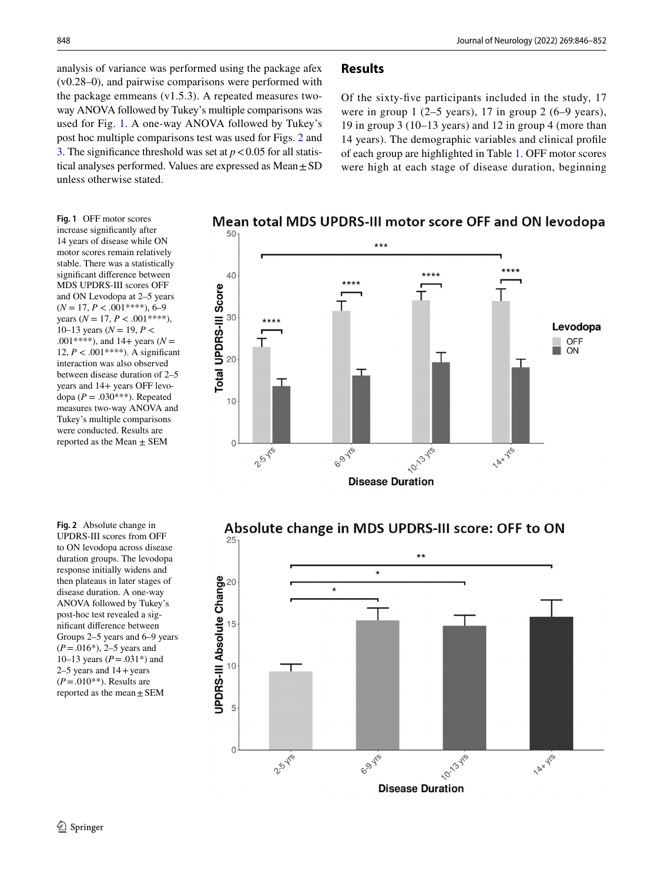analysis of variance was performed using the package afex (v0.28–0), and pairwise comparisons were performed with the package emmeans (v1.5.3). A repeated measures twoway ANOVA followed by Tukey's multiple comparisons was used for Fig. [1](#page-2-0). A one-way ANOVA followed by Tukey's post hoc multiple comparisons test was used for Figs. [2](#page-2-1) and [3.](#page-3-0) The significance threshold was set at  $p < 0.05$  for all statistical analyses performed. Values are expressed as  $Mean \pm SD$ unless otherwise stated.

# **Results**

Of the sixty-fve participants included in the study, 17 were in group 1 (2–5 years), 17 in group 2 (6–9 years), 19 in group 3 (10–13 years) and 12 in group 4 (more than 14 years). The demographic variables and clinical profle of each group are highlighted in Table [1.](#page-3-1) OFF motor scores were high at each stage of disease duration, beginning

<span id="page-2-0"></span>**Fig. 1** OFF motor scores increase signifcantly after 14 years of disease while ON motor scores remain relatively stable. There was a statistically signifcant diference between MDS UPDRS-III scores OFF and ON Levodopa at 2–5 years (*N* = 17, *P* < .001\*\*\*\*), 6–9 years ( $N = 17$ ,  $P < .001$ \*\*\*\*), 10–13 years ( $N = 19, P <$ .001\*\*\*\*), and 14+ years ( $N =$ 12,  $P < .001$ \*\*\*\*). A significant interaction was also observed between disease duration of 2–5 years and 14+ years OFF levodopa ( $P = .030$ <sup>\*\*\*</sup>). Repeated measures two-way ANOVA and Tukey's multiple comparisons were conducted. Results are reported as the Mean  $\pm$  SEM

<span id="page-2-1"></span>**Fig. 2** Absolute change in UPDRS-III scores from OFF to ON levodopa across disease duration groups. The levodopa response initially widens and then plateaus in later stages of disease duration. A one-way ANOVA followed by Tukey's post-hoc test revealed a signifcant diference between Groups 2–5 years and 6–9 years (*P*=.016\*), 2–5 years and 10–13 years (*P*=.031\*) and  $2-5$  years and  $14 +$ years  $(P = .010^{**})$ . Results are reported as the mean  $\pm$  SEM







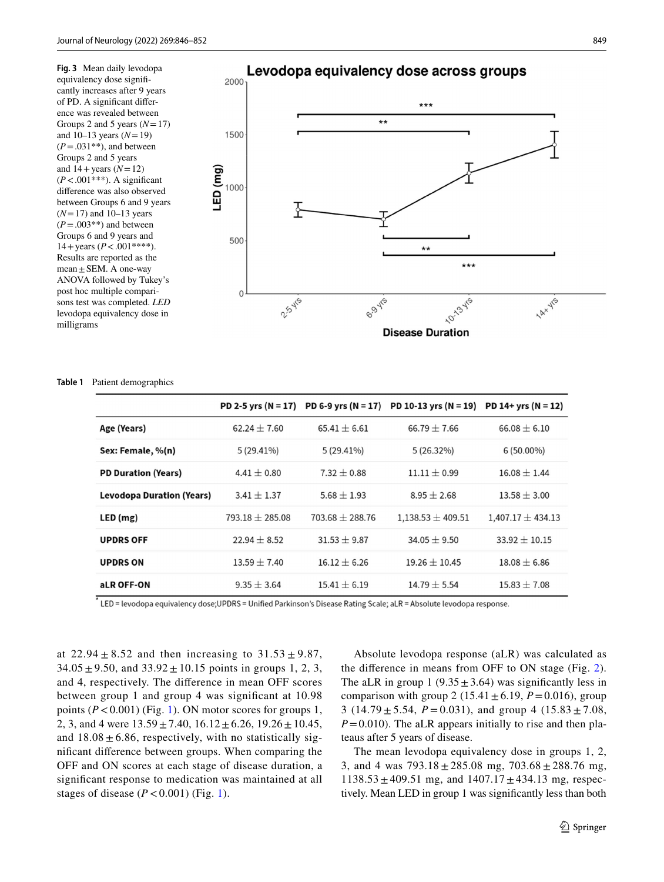<span id="page-3-0"></span>**Fig. 3** Mean daily levodopa equivalency dose signifcantly increases after 9 years of PD. A signifcant diference was revealed between Groups 2 and 5 years  $(N=17)$ and 10–13 years (*N*=19)  $(P=.031**)$ , and between Groups 2 and 5 years and  $14 + \text{years}$  ( $N=12$ )  $(P < .001***)$ . A significant diference was also observed between Groups 6 and 9 years (*N*=17) and 10–13 years  $(P = .003**)$  and between Groups 6 and 9 years and  $14 + \text{years}$  ( $P < .001$ \*\*\*\*). Results are reported as the mean  $\pm$  SEM. A one-way ANOVA followed by Tukey's post hoc multiple comparisons test was completed. *LED*  levodopa equivalency dose in milligrams



#### <span id="page-3-1"></span>**Table 1** Patient demographics

|                            | PD 2-5 yrs $(N = 17)$ |                   | PD 6-9 yrs (N = 17) PD 10-13 yrs (N = 19) PD 14+ yrs (N = 12) |                       |
|----------------------------|-----------------------|-------------------|---------------------------------------------------------------|-----------------------|
| Age (Years)                | $62.24 \pm 7.60$      | $65.41 \pm 6.61$  | $66.79 \pm 7.66$                                              | $66.08 \pm 6.10$      |
| Sex: Female, %(n)          | $5(29.41\%)$          | $5(29.41\%)$      | $5(26.32\%)$                                                  | $6(50.00\%)$          |
| <b>PD Duration (Years)</b> | $4.41 \pm 0.80$       | $7.32 \pm 0.88$   | $11.11 \pm 0.99$                                              | $16.08 \pm 1.44$      |
| Levodopa Duration (Years)  | $3.41 + 1.37$         | $5.68 \pm 1.93$   | $8.95 + 2.68$                                                 | $13.58 \pm 3.00$      |
| LED(mg)                    | $793.18 + 285.08$     | $703.68 + 288.76$ | $1.138.53 \pm 409.51$                                         | $1,407.17 \pm 434.13$ |
| <b>UPDRS OFF</b>           | $22.94 \pm 8.52$      | $31.53 \pm 9.87$  | $34.05 \pm 9.50$                                              | $33.92 \pm 10.15$     |
| <b>UPDRS ON</b>            | $13.59 + 7.40$        | $16.12 + 6.26$    | $19.26 + 10.45$                                               | $18.08 + 6.86$        |
| aLR OFF-ON                 | $9.35 \pm 3.64$       | $15.41 \pm 6.19$  | $14.79 \pm 5.54$                                              | $15.83 \pm 7.08$      |

LED = levodopa equivalency dose;UPDRS = Unified Parkinson's Disease Rating Scale; aLR = Absolute levodopa response.

at  $22.94 \pm 8.52$  and then increasing to  $31.53 \pm 9.87$ ,  $34.05 \pm 9.50$ , and  $33.92 \pm 10.15$  points in groups 1, 2, 3, and 4, respectively. The diference in mean OFF scores between group 1 and group 4 was signifcant at 10.98 points  $(P < 0.001)$  (Fig. [1](#page-2-0)). ON motor scores for groups 1, 2, 3, and 4 were  $13.59 \pm 7.40$ ,  $16.12 \pm 6.26$ ,  $19.26 \pm 10.45$ , and  $18.08 \pm 6.86$ , respectively, with no statistically signifcant diference between groups. When comparing the OFF and ON scores at each stage of disease duration, a signifcant response to medication was maintained at all stages of disease  $(P < 0.001)$  $(P < 0.001)$  $(P < 0.001)$  (Fig. 1).

Absolute levodopa response (aLR) was calculated as the diference in means from OFF to ON stage (Fig. [2](#page-2-1)). The aLR in group 1 (9.35 $\pm$ 3.64) was significantly less in comparison with group 2 (15.41 $\pm$ 6.19, *P*=0.016), group 3 (14.79  $\pm$  5.54, *P* = 0.031), and group 4 (15.83  $\pm$  7.08,  $P=0.010$ ). The aLR appears initially to rise and then plateaus after 5 years of disease.

The mean levodopa equivalency dose in groups 1, 2, 3, and 4 was  $793.18 \pm 285.08$  mg,  $703.68 \pm 288.76$  mg,  $1138.53 \pm 409.51$  mg, and  $1407.17 \pm 434.13$  mg, respectively. Mean LED in group 1 was signifcantly less than both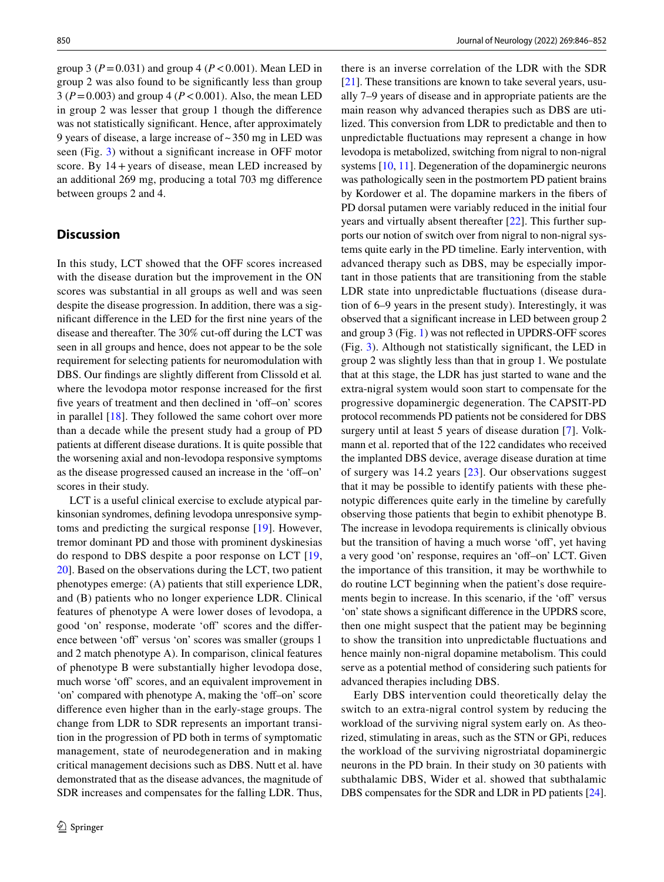group 3 ( $P = 0.031$ ) and group 4 ( $P < 0.001$ ). Mean LED in group 2 was also found to be signifcantly less than group 3 (*P*=0.003) and group 4 (*P*<0.001). Also, the mean LED in group 2 was lesser that group 1 though the diference was not statistically signifcant. Hence, after approximately 9 years of disease, a large increase of~350 mg in LED was seen (Fig. [3](#page-3-0)) without a signifcant increase in OFF motor score. By  $14 + \text{years}$  of disease, mean LED increased by an additional 269 mg, producing a total 703 mg diference between groups 2 and 4.

## **Discussion**

In this study, LCT showed that the OFF scores increased with the disease duration but the improvement in the ON scores was substantial in all groups as well and was seen despite the disease progression. In addition, there was a signifcant diference in the LED for the frst nine years of the disease and thereafter. The 30% cut-off during the LCT was seen in all groups and hence, does not appear to be the sole requirement for selecting patients for neuromodulation with DBS. Our fndings are slightly diferent from Clissold et al*.* where the levodopa motor response increased for the frst five years of treatment and then declined in 'off–on' scores in parallel [[18\]](#page-6-5). They followed the same cohort over more than a decade while the present study had a group of PD patients at diferent disease durations. It is quite possible that the worsening axial and non-levodopa responsive symptoms as the disease progressed caused an increase in the 'off–on' scores in their study.

LCT is a useful clinical exercise to exclude atypical parkinsonian syndromes, defning levodopa unresponsive symptoms and predicting the surgical response [[19\]](#page-6-6). However, tremor dominant PD and those with prominent dyskinesias do respond to DBS despite a poor response on LCT [\[19,](#page-6-6) [20](#page-6-7)]. Based on the observations during the LCT, two patient phenotypes emerge: (A) patients that still experience LDR, and (B) patients who no longer experience LDR. Clinical features of phenotype A were lower doses of levodopa, a good 'on' response, moderate 'of' scores and the diference between 'off' versus 'on' scores was smaller (groups 1) and 2 match phenotype A). In comparison, clinical features of phenotype B were substantially higher levodopa dose, much worse 'off' scores, and an equivalent improvement in 'on' compared with phenotype A, making the 'off–on' score diference even higher than in the early-stage groups. The change from LDR to SDR represents an important transition in the progression of PD both in terms of symptomatic management, state of neurodegeneration and in making critical management decisions such as DBS. Nutt et al. have demonstrated that as the disease advances, the magnitude of SDR increases and compensates for the falling LDR. Thus,

there is an inverse correlation of the LDR with the SDR [\[21\]](#page-6-8). These transitions are known to take several years, usually 7–9 years of disease and in appropriate patients are the main reason why advanced therapies such as DBS are utilized. This conversion from LDR to predictable and then to unpredictable fuctuations may represent a change in how levodopa is metabolized, switching from nigral to non-nigral systems [[10,](#page-5-8) [11\]](#page-5-9). Degeneration of the dopaminergic neurons was pathologically seen in the postmortem PD patient brains by Kordower et al. The dopamine markers in the fbers of PD dorsal putamen were variably reduced in the initial four years and virtually absent thereafter [\[22](#page-6-9)]. This further supports our notion of switch over from nigral to non-nigral systems quite early in the PD timeline. Early intervention, with advanced therapy such as DBS, may be especially important in those patients that are transitioning from the stable LDR state into unpredictable fuctuations (disease duration of 6–9 years in the present study). Interestingly, it was observed that a signifcant increase in LED between group 2 and group 3 (Fig. [1\)](#page-2-0) was not refected in UPDRS-OFF scores (Fig. [3\)](#page-3-0). Although not statistically signifcant, the LED in group 2 was slightly less than that in group 1. We postulate that at this stage, the LDR has just started to wane and the extra-nigral system would soon start to compensate for the progressive dopaminergic degeneration. The CAPSIT-PD protocol recommends PD patients not be considered for DBS surgery until at least 5 years of disease duration [[7](#page-5-5)]. Volkmann et al. reported that of the 122 candidates who received the implanted DBS device, average disease duration at time of surgery was 14.2 years [[23](#page-6-10)]. Our observations suggest that it may be possible to identify patients with these phenotypic diferences quite early in the timeline by carefully observing those patients that begin to exhibit phenotype B. The increase in levodopa requirements is clinically obvious but the transition of having a much worse 'of', yet having a very good 'on' response, requires an 'off-on' LCT. Given the importance of this transition, it may be worthwhile to do routine LCT beginning when the patient's dose requirements begin to increase. In this scenario, if the 'off' versus 'on' state shows a signifcant diference in the UPDRS score, then one might suspect that the patient may be beginning to show the transition into unpredictable fuctuations and hence mainly non-nigral dopamine metabolism. This could serve as a potential method of considering such patients for advanced therapies including DBS.

Early DBS intervention could theoretically delay the switch to an extra-nigral control system by reducing the workload of the surviving nigral system early on. As theorized, stimulating in areas, such as the STN or GPi, reduces the workload of the surviving nigrostriatal dopaminergic neurons in the PD brain. In their study on 30 patients with subthalamic DBS, Wider et al. showed that subthalamic DBS compensates for the SDR and LDR in PD patients [[24](#page-6-11)].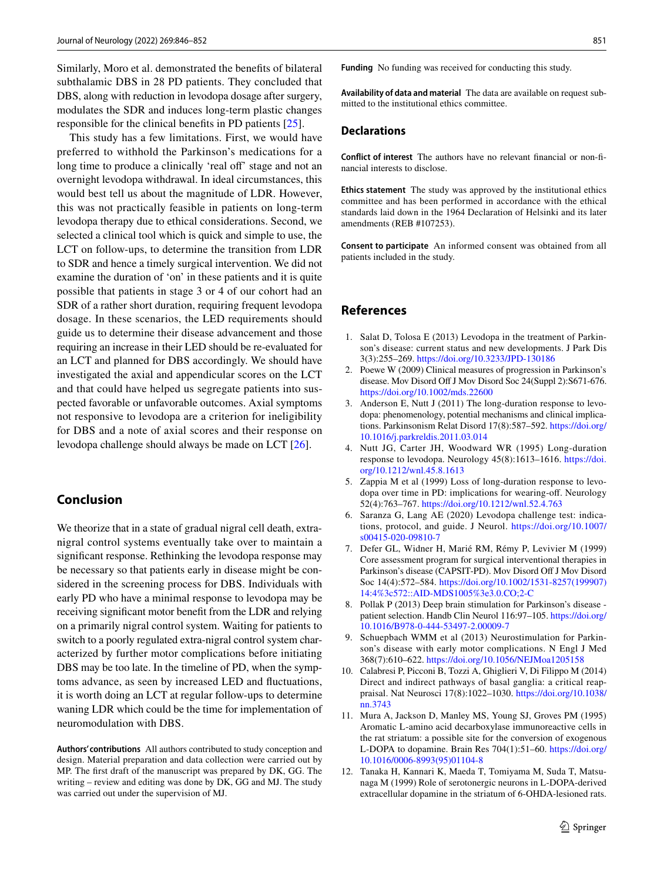Similarly, Moro et al. demonstrated the benefts of bilateral subthalamic DBS in 28 PD patients. They concluded that DBS, along with reduction in levodopa dosage after surgery, modulates the SDR and induces long-term plastic changes responsible for the clinical benefts in PD patients [\[25\]](#page-6-12).

This study has a few limitations. First, we would have preferred to withhold the Parkinson's medications for a long time to produce a clinically 'real off' stage and not an overnight levodopa withdrawal. In ideal circumstances, this would best tell us about the magnitude of LDR. However, this was not practically feasible in patients on long-term levodopa therapy due to ethical considerations. Second, we selected a clinical tool which is quick and simple to use, the LCT on follow-ups, to determine the transition from LDR to SDR and hence a timely surgical intervention. We did not examine the duration of 'on' in these patients and it is quite possible that patients in stage 3 or 4 of our cohort had an SDR of a rather short duration, requiring frequent levodopa dosage. In these scenarios, the LED requirements should guide us to determine their disease advancement and those requiring an increase in their LED should be re-evaluated for an LCT and planned for DBS accordingly. We should have investigated the axial and appendicular scores on the LCT and that could have helped us segregate patients into suspected favorable or unfavorable outcomes. Axial symptoms not responsive to levodopa are a criterion for ineligibility for DBS and a note of axial scores and their response on levodopa challenge should always be made on LCT [[26\]](#page-6-13).

# **Conclusion**

We theorize that in a state of gradual nigral cell death, extranigral control systems eventually take over to maintain a signifcant response. Rethinking the levodopa response may be necessary so that patients early in disease might be considered in the screening process for DBS. Individuals with early PD who have a minimal response to levodopa may be receiving signifcant motor beneft from the LDR and relying on a primarily nigral control system. Waiting for patients to switch to a poorly regulated extra-nigral control system characterized by further motor complications before initiating DBS may be too late. In the timeline of PD, when the symptoms advance, as seen by increased LED and fuctuations, it is worth doing an LCT at regular follow-ups to determine waning LDR which could be the time for implementation of neuromodulation with DBS.

**Authors' contributions** All authors contributed to study conception and design. Material preparation and data collection were carried out by MP. The frst draft of the manuscript was prepared by DK, GG. The writing – review and editing was done by DK, GG and MJ. The study was carried out under the supervision of MJ.

**Funding** No funding was received for conducting this study.

**Availability of data and material** The data are available on request submitted to the institutional ethics committee.

## **Declarations**

**Conflict of interest** The authors have no relevant fnancial or non-fnancial interests to disclose.

**Ethics statement** The study was approved by the institutional ethics committee and has been performed in accordance with the ethical standards laid down in the 1964 Declaration of Helsinki and its later amendments (REB #107253).

**Consent to participate** An informed consent was obtained from all patients included in the study.

# **References**

- <span id="page-5-0"></span>1. Salat D, Tolosa E (2013) Levodopa in the treatment of Parkinson's disease: current status and new developments. J Park Dis 3(3):255–269.<https://doi.org/10.3233/JPD-130186>
- <span id="page-5-1"></span>2. Poewe W (2009) Clinical measures of progression in Parkinson's disease. Mov Disord Off J Mov Disord Soc 24(Suppl 2):S671-676. <https://doi.org/10.1002/mds.22600>
- <span id="page-5-2"></span>3. Anderson E, Nutt J (2011) The long-duration response to levodopa: phenomenology, potential mechanisms and clinical implications. Parkinsonism Relat Disord 17(8):587–592. [https://doi.org/](https://doi.org/10.1016/j.parkreldis.2011.03.014) [10.1016/j.parkreldis.2011.03.014](https://doi.org/10.1016/j.parkreldis.2011.03.014)
- 4. Nutt JG, Carter JH, Woodward WR (1995) Long-duration response to levodopa. Neurology 45(8):1613–1616. [https://doi.](https://doi.org/10.1212/wnl.45.8.1613) [org/10.1212/wnl.45.8.1613](https://doi.org/10.1212/wnl.45.8.1613)
- <span id="page-5-3"></span>5. Zappia M et al (1999) Loss of long-duration response to levodopa over time in PD: implications for wearing-of. Neurology 52(4):763–767.<https://doi.org/10.1212/wnl.52.4.763>
- <span id="page-5-4"></span>6. Saranza G, Lang AE (2020) Levodopa challenge test: indications, protocol, and guide. J Neurol. [https://doi.org/10.1007/](https://doi.org/10.1007/s00415-020-09810-7) [s00415-020-09810-7](https://doi.org/10.1007/s00415-020-09810-7)
- <span id="page-5-5"></span>7. Defer GL, Widner H, Marié RM, Rémy P, Levivier M (1999) Core assessment program for surgical interventional therapies in Parkinson's disease (CAPSIT-PD). Mov Disord Of J Mov Disord Soc 14(4):572–584. [https://doi.org/10.1002/1531-8257\(199907\)](https://doi.org/10.1002/1531-8257(199907)14:4%3c572::AID-MDS1005%3e3.0.CO;2-C) [14:4%3c572::AID-MDS1005%3e3.0.CO;2-C](https://doi.org/10.1002/1531-8257(199907)14:4%3c572::AID-MDS1005%3e3.0.CO;2-C)
- <span id="page-5-6"></span>8. Pollak P (2013) Deep brain stimulation for Parkinson's disease patient selection. Handb Clin Neurol 116:97–105. [https://doi.org/](https://doi.org/10.1016/B978-0-444-53497-2.00009-7) [10.1016/B978-0-444-53497-2.00009-7](https://doi.org/10.1016/B978-0-444-53497-2.00009-7)
- <span id="page-5-7"></span>9. Schuepbach WMM et al (2013) Neurostimulation for Parkinson's disease with early motor complications. N Engl J Med 368(7):610–622. <https://doi.org/10.1056/NEJMoa1205158>
- <span id="page-5-8"></span>10. Calabresi P, Picconi B, Tozzi A, Ghiglieri V, Di Filippo M (2014) Direct and indirect pathways of basal ganglia: a critical reappraisal. Nat Neurosci 17(8):1022–1030. [https://doi.org/10.1038/](https://doi.org/10.1038/nn.3743) [nn.3743](https://doi.org/10.1038/nn.3743)
- <span id="page-5-9"></span>11. Mura A, Jackson D, Manley MS, Young SJ, Groves PM (1995) Aromatic L-amino acid decarboxylase immunoreactive cells in the rat striatum: a possible site for the conversion of exogenous L-DOPA to dopamine. Brain Res 704(1):51–60. [https://doi.org/](https://doi.org/10.1016/0006-8993(95)01104-8) [10.1016/0006-8993\(95\)01104-8](https://doi.org/10.1016/0006-8993(95)01104-8)
- 12. Tanaka H, Kannari K, Maeda T, Tomiyama M, Suda T, Matsunaga M (1999) Role of serotonergic neurons in L-DOPA-derived extracellular dopamine in the striatum of 6-OHDA-lesioned rats.